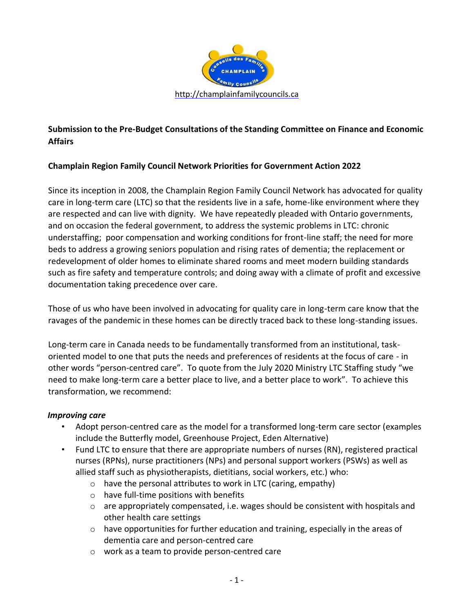

# **Submission to the Pre-Budget Consultations of the Standing Committee on Finance and Economic Affairs**

## **Champlain Region Family Council Network Priorities for Government Action 2022**

Since its inception in 2008, the Champlain Region Family Council Network has advocated for quality care in long-term care (LTC) so that the residents live in a safe, home-like environment where they are respected and can live with dignity. We have repeatedly pleaded with Ontario governments, and on occasion the federal government, to address the systemic problems in LTC: chronic understaffing; poor compensation and working conditions for front-line staff; the need for more beds to address a growing seniors population and rising rates of dementia; the replacement or redevelopment of older homes to eliminate shared rooms and meet modern building standards such as fire safety and temperature controls; and doing away with a climate of profit and excessive documentation taking precedence over care.

Those of us who have been involved in advocating for quality care in long-term care know that the ravages of the pandemic in these homes can be directly traced back to these long-standing issues.

Long-term care in Canada needs to be fundamentally transformed from an institutional, taskoriented model to one that puts the needs and preferences of residents at the focus of care - in other words "person-centred care". To quote from the July 2020 Ministry LTC Staffing study "we need to make long-term care a better place to live, and a better place to work". To achieve this transformation, we recommend:

#### *Improving care*

- Adopt person-centred care as the model for a transformed long-term care sector (examples include the Butterfly model, Greenhouse Project, Eden Alternative)
- Fund LTC to ensure that there are appropriate numbers of nurses (RN), registered practical nurses (RPNs), nurse practitioners (NPs) and personal support workers (PSWs) as well as allied staff such as physiotherapists, dietitians, social workers, etc.) who:
	- $\circ$  have the personal attributes to work in LTC (caring, empathy)
	- o have full-time positions with benefits
	- o are appropriately compensated, i.e. wages should be consistent with hospitals and other health care settings
	- $\circ$  have opportunities for further education and training, especially in the areas of dementia care and person-centred care
	- o work as a team to provide person-centred care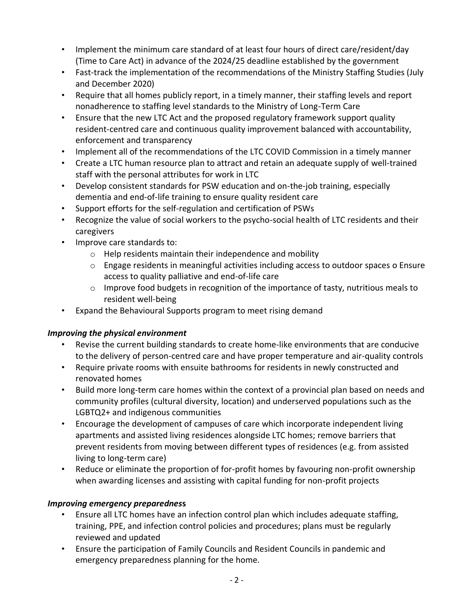- Implement the minimum care standard of at least four hours of direct care/resident/day (Time to Care Act) in advance of the 2024/25 deadline established by the government
- Fast-track the implementation of the recommendations of the Ministry Staffing Studies (July and December 2020)
- Require that all homes publicly report, in a timely manner, their staffing levels and report nonadherence to staffing level standards to the Ministry of Long-Term Care
- Ensure that the new LTC Act and the proposed regulatory framework support quality resident-centred care and continuous quality improvement balanced with accountability, enforcement and transparency
- Implement all of the recommendations of the LTC COVID Commission in a timely manner
- Create a LTC human resource plan to attract and retain an adequate supply of well-trained staff with the personal attributes for work in LTC
- Develop consistent standards for PSW education and on-the-job training, especially dementia and end-of-life training to ensure quality resident care
- Support efforts for the self-regulation and certification of PSWs
- Recognize the value of social workers to the psycho-social health of LTC residents and their caregivers
- Improve care standards to:
	- o Help residents maintain their independence and mobility
	- $\circ$  Engage residents in meaningful activities including access to outdoor spaces o Ensure access to quality palliative and end-of-life care
	- $\circ$  Improve food budgets in recognition of the importance of tasty, nutritious meals to resident well-being
- Expand the Behavioural Supports program to meet rising demand

#### *Improving the physical environment*

- Revise the current building standards to create home-like environments that are conducive to the delivery of person-centred care and have proper temperature and air-quality controls
- Require private rooms with ensuite bathrooms for residents in newly constructed and renovated homes
- Build more long-term care homes within the context of a provincial plan based on needs and community profiles (cultural diversity, location) and underserved populations such as the LGBTQ2+ and indigenous communities
- Encourage the development of campuses of care which incorporate independent living apartments and assisted living residences alongside LTC homes; remove barriers that prevent residents from moving between different types of residences (e.g. from assisted living to long-term care)
- Reduce or eliminate the proportion of for-profit homes by favouring non-profit ownership when awarding licenses and assisting with capital funding for non-profit projects

#### *Improving emergency preparednes***s**

- Ensure all LTC homes have an infection control plan which includes adequate staffing, training, PPE, and infection control policies and procedures; plans must be regularly reviewed and updated
- Ensure the participation of Family Councils and Resident Councils in pandemic and emergency preparedness planning for the home.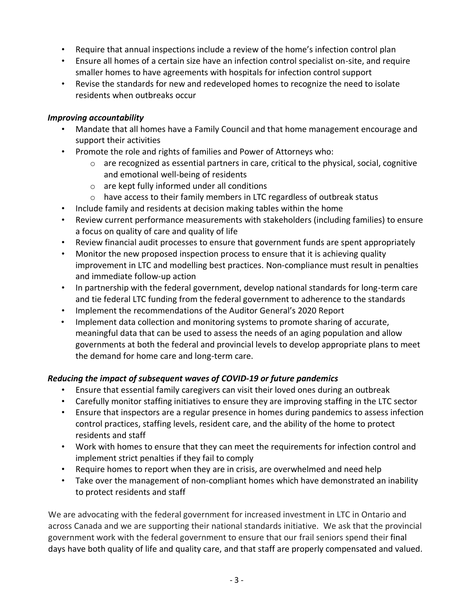- Require that annual inspections include a review of the home's infection control plan
- Ensure all homes of a certain size have an infection control specialist on-site, and require smaller homes to have agreements with hospitals for infection control support
- Revise the standards for new and redeveloped homes to recognize the need to isolate residents when outbreaks occur

### *Improving accountability*

- Mandate that all homes have a Family Council and that home management encourage and support their activities
- Promote the role and rights of families and Power of Attorneys who:
	- $\circ$  are recognized as essential partners in care, critical to the physical, social, cognitive and emotional well-being of residents
	- o are kept fully informed under all conditions
	- o have access to their family members in LTC regardless of outbreak status
- Include family and residents at decision making tables within the home
- Review current performance measurements with stakeholders (including families) to ensure a focus on quality of care and quality of life
- Review financial audit processes to ensure that government funds are spent appropriately
- Monitor the new proposed inspection process to ensure that it is achieving quality improvement in LTC and modelling best practices. Non-compliance must result in penalties and immediate follow-up action
- In partnership with the federal government, develop national standards for long-term care and tie federal LTC funding from the federal government to adherence to the standards
- Implement the recommendations of the Auditor General's 2020 Report
- Implement data collection and monitoring systems to promote sharing of accurate, meaningful data that can be used to assess the needs of an aging population and allow governments at both the federal and provincial levels to develop appropriate plans to meet the demand for home care and long-term care.

## *Reducing the impact of subsequent waves of COVID-19 or future pandemics*

- Ensure that essential family caregivers can visit their loved ones during an outbreak
- Carefully monitor staffing initiatives to ensure they are improving staffing in the LTC sector
- Ensure that inspectors are a regular presence in homes during pandemics to assess infection control practices, staffing levels, resident care, and the ability of the home to protect residents and staff
- Work with homes to ensure that they can meet the requirements for infection control and implement strict penalties if they fail to comply
- Require homes to report when they are in crisis, are overwhelmed and need help
- Take over the management of non-compliant homes which have demonstrated an inability to protect residents and staff

We are advocating with the federal government for increased investment in LTC in Ontario and across Canada and we are supporting their national standards initiative. We ask that the provincial government work with the federal government to ensure that our frail seniors spend their final days have both quality of life and quality care, and that staff are properly compensated and valued.